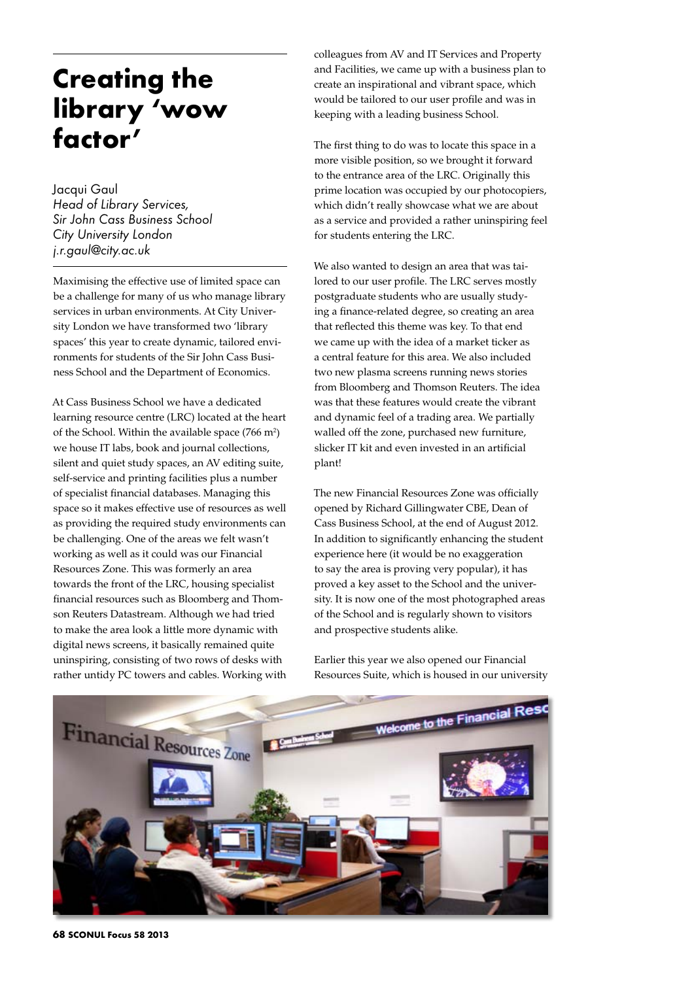## **Creating the library 'wow factor'**

Jacqui Gaul *Head of Library Services, Sir John Cass Business School City University London j.r.gaul@city.ac.uk*

Maximising the effective use of limited space can be a challenge for many of us who manage library services in urban environments. At City University London we have transformed two 'library spaces' this year to create dynamic, tailored environments for students of the Sir John Cass Business School and the Department of Economics.

At Cass Business School we have a dedicated learning resource centre (LRC) located at the heart of the School. Within the available space  $(766 \text{ m}^2)$ we house IT labs, book and journal collections, silent and quiet study spaces, an AV editing suite, self-service and printing facilities plus a number of specialist financial databases. Managing this space so it makes effective use of resources as well as providing the required study environments can be challenging. One of the areas we felt wasn't working as well as it could was our Financial Resources Zone. This was formerly an area towards the front of the LRC, housing specialist financial resources such as Bloomberg and Thomson Reuters Datastream. Although we had tried to make the area look a little more dynamic with digital news screens, it basically remained quite uninspiring, consisting of two rows of desks with rather untidy PC towers and cables. Working with

colleagues from AV and IT Services and Property and Facilities, we came up with a business plan to create an inspirational and vibrant space, which would be tailored to our user profile and was in keeping with a leading business School.

The first thing to do was to locate this space in a more visible position, so we brought it forward to the entrance area of the LRC. Originally this prime location was occupied by our photocopiers, which didn't really showcase what we are about as a service and provided a rather uninspiring feel for students entering the LRC.

We also wanted to design an area that was tailored to our user profile. The LRC serves mostly postgraduate students who are usually studying a finance-related degree, so creating an area that reflected this theme was key. To that end we came up with the idea of a market ticker as a central feature for this area. We also included two new plasma screens running news stories from Bloomberg and Thomson Reuters. The idea was that these features would create the vibrant and dynamic feel of a trading area. We partially walled off the zone, purchased new furniture, slicker IT kit and even invested in an artificial plant!

The new Financial Resources Zone was officially opened by Richard Gillingwater CBE, Dean of Cass Business School, at the end of August 2012. In addition to significantly enhancing the student experience here (it would be no exaggeration to say the area is proving very popular), it has proved a key asset to the School and the university. It is now one of the most photographed areas of the School and is regularly shown to visitors and prospective students alike.

Earlier this year we also opened our Financial Resources Suite, which is housed in our university